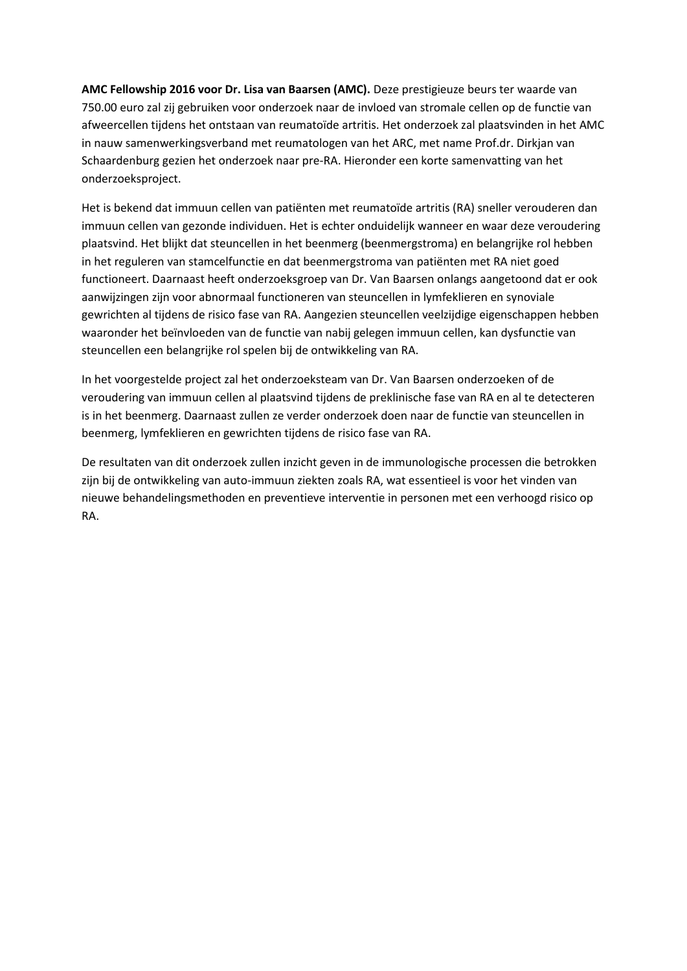**AMC Fellowship 2016 voor Dr. Lisa van Baarsen (AMC).** Deze prestigieuze beurs ter waarde van 750.00 euro zal zij gebruiken voor onderzoek naar de invloed van stromale cellen op de functie van afweercellen tijdens het ontstaan van reumatoïde artritis. Het onderzoek zal plaatsvinden in het AMC in nauw samenwerkingsverband met reumatologen van het ARC, met name Prof.dr. Dirkjan van Schaardenburg gezien het onderzoek naar pre-RA. Hieronder een korte samenvatting van het onderzoeksproject.

Het is bekend dat immuun cellen van patiënten met reumatoïde artritis (RA) sneller verouderen dan immuun cellen van gezonde individuen. Het is echter onduidelijk wanneer en waar deze veroudering plaatsvind. Het blijkt dat steuncellen in het beenmerg (beenmergstroma) en belangrijke rol hebben in het reguleren van stamcelfunctie en dat beenmergstroma van patiënten met RA niet goed functioneert. Daarnaast heeft onderzoeksgroep van Dr. Van Baarsen onlangs aangetoond dat er ook aanwijzingen zijn voor abnormaal functioneren van steuncellen in lymfeklieren en synoviale gewrichten al tijdens de risico fase van RA. Aangezien steuncellen veelzijdige eigenschappen hebben waaronder het beïnvloeden van de functie van nabij gelegen immuun cellen, kan dysfunctie van steuncellen een belangrijke rol spelen bij de ontwikkeling van RA.

In het voorgestelde project zal het onderzoeksteam van Dr. Van Baarsen onderzoeken of de veroudering van immuun cellen al plaatsvind tijdens de preklinische fase van RA en al te detecteren is in het beenmerg. Daarnaast zullen ze verder onderzoek doen naar de functie van steuncellen in beenmerg, lymfeklieren en gewrichten tijdens de risico fase van RA.

De resultaten van dit onderzoek zullen inzicht geven in de immunologische processen die betrokken zijn bij de ontwikkeling van auto-immuun ziekten zoals RA, wat essentieel is voor het vinden van nieuwe behandelingsmethoden en preventieve interventie in personen met een verhoogd risico op RA.